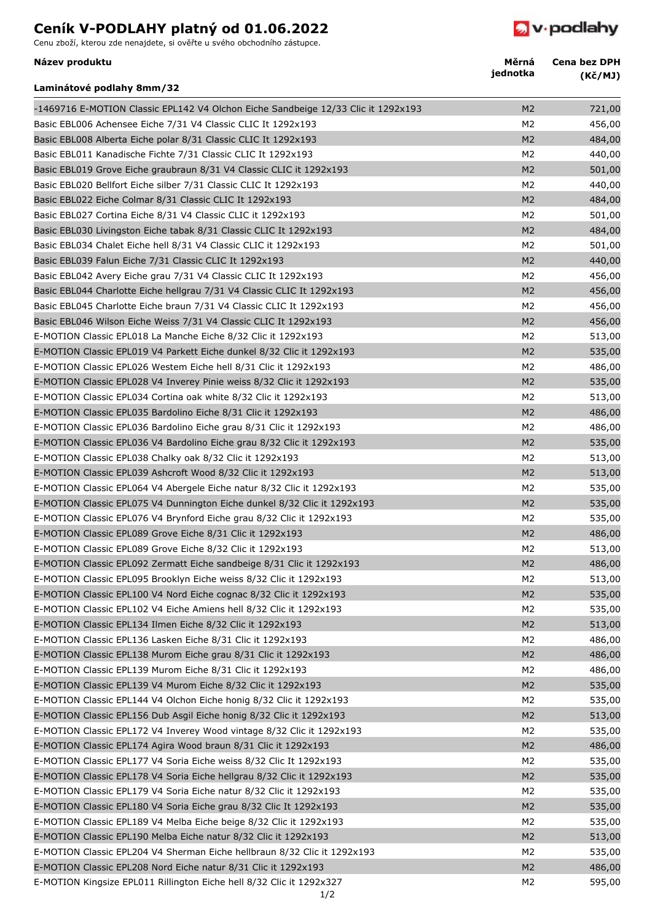## **Ceník V-PODLAHY platný od 01.06.2022**

Cenu zboží, kterou zde nenajdete, si ověřte u svého obchodního zástupce.

*D* v podlahy

| Název produktu                                                                    | Měrná<br>jednotka | <b>Cena bez DPH</b><br>(Kč/MJ) |
|-----------------------------------------------------------------------------------|-------------------|--------------------------------|
| Laminátové podlahy 8mm/32                                                         |                   |                                |
| -1469716 E-MOTION Classic EPL142 V4 Olchon Eiche Sandbeige 12/33 Clic it 1292x193 | M <sub>2</sub>    | 721,00                         |
| Basic EBL006 Achensee Eiche 7/31 V4 Classic CLIC It 1292x193                      | M <sub>2</sub>    | 456,00                         |
| Basic EBL008 Alberta Eiche polar 8/31 Classic CLIC It 1292x193                    | M <sub>2</sub>    | 484,00                         |
| Basic EBL011 Kanadische Fichte 7/31 Classic CLIC It 1292x193                      | M <sub>2</sub>    | 440,00                         |
| Basic EBL019 Grove Eiche graubraun 8/31 V4 Classic CLIC it 1292x193               | M <sub>2</sub>    | 501,00                         |
| Basic EBL020 Bellfort Eiche silber 7/31 Classic CLIC It 1292x193                  | M <sub>2</sub>    | 440,00                         |
| Basic EBL022 Eiche Colmar 8/31 Classic CLIC It 1292x193                           | M <sub>2</sub>    | 484,00                         |
| Basic EBL027 Cortina Eiche 8/31 V4 Classic CLIC it 1292x193                       | M <sub>2</sub>    | 501,00                         |
| Basic EBL030 Livingston Eiche tabak 8/31 Classic CLIC It 1292x193                 | M <sub>2</sub>    | 484,00                         |
| Basic EBL034 Chalet Eiche hell 8/31 V4 Classic CLIC it 1292x193                   | M <sub>2</sub>    | 501,00                         |
| Basic EBL039 Falun Eiche 7/31 Classic CLIC It 1292x193                            | M <sub>2</sub>    | 440,00                         |
| Basic EBL042 Avery Eiche grau 7/31 V4 Classic CLIC It 1292x193                    | M <sub>2</sub>    | 456,00                         |
| Basic EBL044 Charlotte Eiche hellgrau 7/31 V4 Classic CLIC It 1292x193            | M <sub>2</sub>    | 456,00                         |
| Basic EBL045 Charlotte Eiche braun 7/31 V4 Classic CLIC It 1292x193               | M <sub>2</sub>    | 456,00                         |
| Basic EBL046 Wilson Eiche Weiss 7/31 V4 Classic CLIC It 1292x193                  | M <sub>2</sub>    | 456,00                         |
| E-MOTION Classic EPL018 La Manche Eiche 8/32 Clic it 1292x193                     | M <sub>2</sub>    | 513,00                         |
| E-MOTION Classic EPL019 V4 Parkett Eiche dunkel 8/32 Clic it 1292x193             | M <sub>2</sub>    | 535,00                         |
| E-MOTION Classic EPL026 Westem Eiche hell 8/31 Clic it 1292x193                   | M <sub>2</sub>    | 486,00                         |
| E-MOTION Classic EPL028 V4 Inverey Pinie weiss 8/32 Clic it 1292x193              | M <sub>2</sub>    | 535,00                         |
| E-MOTION Classic EPL034 Cortina oak white 8/32 Clic it 1292x193                   | M <sub>2</sub>    | 513,00                         |
| E-MOTION Classic EPL035 Bardolino Eiche 8/31 Clic it 1292x193                     | M <sub>2</sub>    | 486,00                         |
| E-MOTION Classic EPL036 Bardolino Eiche grau 8/31 Clic it 1292x193                | M <sub>2</sub>    | 486,00                         |
| E-MOTION Classic EPL036 V4 Bardolino Eiche grau 8/32 Clic it 1292x193             | M <sub>2</sub>    | 535,00                         |
| E-MOTION Classic EPL038 Chalky oak 8/32 Clic it 1292x193                          | M <sub>2</sub>    | 513,00                         |
| E-MOTION Classic EPL039 Ashcroft Wood 8/32 Clic it 1292x193                       | M <sub>2</sub>    | 513,00                         |
| E-MOTION Classic EPL064 V4 Abergele Eiche natur 8/32 Clic it 1292x193             | M2                | 535,00                         |
| E-MOTION Classic EPL075 V4 Dunnington Eiche dunkel 8/32 Clic it 1292x193          | M <sub>2</sub>    | 535,00                         |
| E-MOTION Classic EPL076 V4 Brynford Eiche grau 8/32 Clic it 1292x193              | M <sub>2</sub>    |                                |
|                                                                                   | M <sub>2</sub>    | 535,00                         |
| E-MOTION Classic EPL089 Grove Eiche 8/31 Clic it 1292x193                         |                   | 486,00                         |
| E-MOTION Classic EPL089 Grove Eiche 8/32 Clic it 1292x193                         | M2                | 513,00                         |
| E-MOTION Classic EPL092 Zermatt Eiche sandbeige 8/31 Clic it 1292x193             | M <sub>2</sub>    | 486,00                         |
| E-MOTION Classic EPL095 Brooklyn Eiche weiss 8/32 Clic it 1292x193                | M <sub>2</sub>    | 513,00                         |
| E-MOTION Classic EPL100 V4 Nord Eiche cognac 8/32 Clic it 1292x193                | M <sub>2</sub>    | 535,00                         |
| E-MOTION Classic EPL102 V4 Eiche Amiens hell 8/32 Clic it 1292x193                | M <sub>2</sub>    | 535,00                         |
| E-MOTION Classic EPL134 Ilmen Eiche 8/32 Clic it 1292x193                         | M <sub>2</sub>    | 513,00                         |
| E-MOTION Classic EPL136 Lasken Eiche 8/31 Clic it 1292x193                        | M <sub>2</sub>    | 486,00                         |
| E-MOTION Classic EPL138 Murom Eiche grau 8/31 Clic it 1292x193                    | M <sub>2</sub>    | 486,00                         |
| E-MOTION Classic EPL139 Murom Eiche 8/31 Clic it 1292x193                         | M <sub>2</sub>    | 486,00                         |
| E-MOTION Classic EPL139 V4 Murom Eiche 8/32 Clic it 1292x193                      | M <sub>2</sub>    | 535,00                         |
| E-MOTION Classic EPL144 V4 Olchon Eiche honig 8/32 Clic it 1292x193               | M <sub>2</sub>    | 535,00                         |
| E-MOTION Classic EPL156 Dub Asgil Eiche honig 8/32 Clic it 1292x193               | M <sub>2</sub>    | 513,00                         |
| E-MOTION Classic EPL172 V4 Inverey Wood vintage 8/32 Clic it 1292x193             | M <sub>2</sub>    | 535,00                         |
| E-MOTION Classic EPL174 Agira Wood braun 8/31 Clic it 1292x193                    | M <sub>2</sub>    | 486,00                         |
| E-MOTION Classic EPL177 V4 Soria Eiche weiss 8/32 Clic It 1292x193                | M2                | 535,00                         |
| E-MOTION Classic EPL178 V4 Soria Eiche hellgrau 8/32 Clic it 1292x193             | M <sub>2</sub>    | 535,00                         |
| E-MOTION Classic EPL179 V4 Soria Eiche natur 8/32 Clic it 1292x193                | M <sub>2</sub>    | 535,00                         |
| E-MOTION Classic EPL180 V4 Soria Eiche grau 8/32 Clic It 1292x193                 | M <sub>2</sub>    | 535,00                         |
| E-MOTION Classic EPL189 V4 Melba Eiche beige 8/32 Clic it 1292x193                | M <sub>2</sub>    | 535,00                         |
| E-MOTION Classic EPL190 Melba Eiche natur 8/32 Clic it 1292x193                   | M <sub>2</sub>    | 513,00                         |
| E-MOTION Classic EPL204 V4 Sherman Eiche hellbraun 8/32 Clic it 1292x193          | M <sub>2</sub>    | 535,00                         |
| E-MOTION Classic EPL208 Nord Eiche natur 8/31 Clic it 1292x193                    | M <sub>2</sub>    | 486,00                         |
| E-MOTION Kingsize EPL011 Rillington Eiche hell 8/32 Clic it 1292x327              | M2                | 595,00                         |